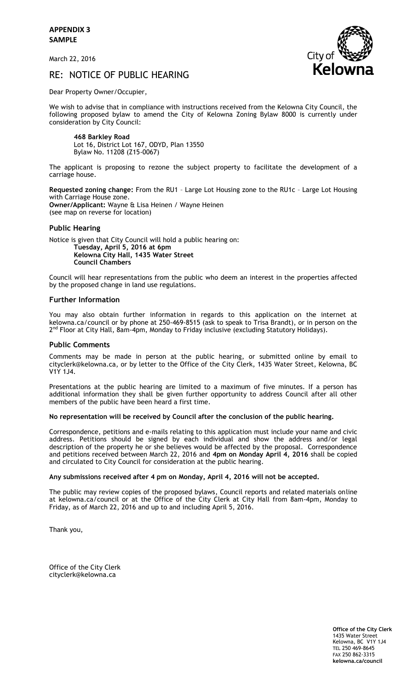**APPENDIX 3 SAMPLE**

March 22, 2016



# RE: NOTICE OF PUBLIC HEARING

Dear Property Owner/Occupier,

We wish to advise that in compliance with instructions received from the Kelowna City Council, the following proposed bylaw to amend the City of Kelowna Zoning Bylaw 8000 is currently under consideration by City Council:

**468 Barkley Road** Lot 16, District Lot 167, ODYD, Plan 13550 Bylaw No. 11208 (Z15-0067)

The applicant is proposing to rezone the subject property to facilitate the development of a carriage house.

**Requested zoning change:** From the RU1 – Large Lot Housing zone to the RU1c – Large Lot Housing with Carriage House zone. **Owner/Applicant:** Wayne & Lisa Heinen / Wayne Heinen (see map on reverse for location)

## **Public Hearing**

Notice is given that City Council will hold a public hearing on: **Tuesday, April 5, 2016 at 6pm Kelowna City Hall, 1435 Water Street Council Chambers**

Council will hear representations from the public who deem an interest in the properties affected by the proposed change in land use regulations.

### **Further Information**

You may also obtain further information in regards to this application on the internet at kelowna.ca/council or by phone at 250-469-8515 (ask to speak to Trisa Brandt), or in person on the 2<sup>nd</sup> Floor at City Hall, 8am-4pm, Monday to Friday inclusive (excluding Statutory Holidays).

## **Public Comments**

Comments may be made in person at the public hearing, or submitted online by email to cityclerk@kelowna.ca, or by letter to the Office of the City Clerk, 1435 Water Street, Kelowna, BC V1Y 1J4.

Presentations at the public hearing are limited to a maximum of five minutes. If a person has additional information they shall be given further opportunity to address Council after all other members of the public have been heard a first time.

#### **No representation will be received by Council after the conclusion of the public hearing.**

Correspondence, petitions and e-mails relating to this application must include your name and civic address. Petitions should be signed by each individual and show the address and/or legal description of the property he or she believes would be affected by the proposal. Correspondence and petitions received between March 22, 2016 and **4pm on Monday April 4, 2016** shall be copied and circulated to City Council for consideration at the public hearing.

#### **Any submissions received after 4 pm on Monday, April 4, 2016 will not be accepted.**

The public may review copies of the proposed bylaws, Council reports and related materials online at kelowna.ca/council or at the Office of the City Clerk at City Hall from 8am-4pm, Monday to Friday, as of March 22, 2016 and up to and including April 5, 2016.

Thank you,

Office of the City Clerk cityclerk@kelowna.ca

> **Office of the City Clerk** 1435 Water Street Kelowna, BC V1Y 1J4 TEL 250 469-8645 FAX 250 862-3315 **kelowna.ca/council**